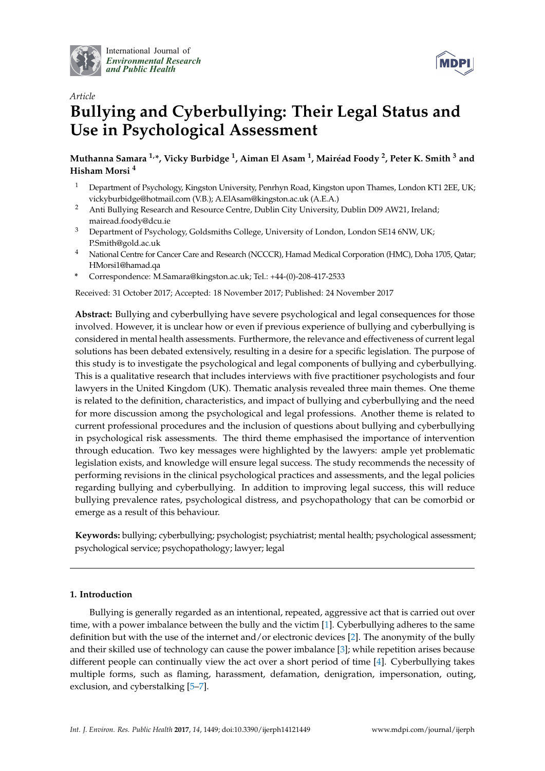

International Journal of *[Environmental Research](http://www.mdpi.com/journal/ijerph) and Public Health*



# *Article* **Bullying and Cyberbullying: Their Legal Status and Use in Psychological Assessment**

**Muthanna Samara 1,\*, Vicky Burbidge <sup>1</sup> , Aiman El Asam <sup>1</sup> , Mairéad Foody <sup>2</sup> , Peter K. Smith <sup>3</sup> and Hisham Morsi <sup>4</sup>**

- <sup>1</sup> Department of Psychology, Kingston University, Penrhyn Road, Kingston upon Thames, London KT1 2EE, UK; vickyburbidge@hotmail.com (V.B.); A.ElAsam@kingston.ac.uk (A.E.A.)
- <sup>2</sup> Anti Bullying Research and Resource Centre, Dublin City University, Dublin D09 AW21, Ireland; mairead.foody@dcu.ie
- <sup>3</sup> Department of Psychology, Goldsmiths College, University of London, London SE14 6NW, UK; P.Smith@gold.ac.uk
- <sup>4</sup> National Centre for Cancer Care and Research (NCCCR), Hamad Medical Corporation (HMC), Doha 1705, Qatar; HMorsi1@hamad.qa
- **\*** Correspondence: M.Samara@kingston.ac.uk; Tel.: +44-(0)-208-417-2533

Received: 31 October 2017; Accepted: 18 November 2017; Published: 24 November 2017

**Abstract:** Bullying and cyberbullying have severe psychological and legal consequences for those involved. However, it is unclear how or even if previous experience of bullying and cyberbullying is considered in mental health assessments. Furthermore, the relevance and effectiveness of current legal solutions has been debated extensively, resulting in a desire for a specific legislation. The purpose of this study is to investigate the psychological and legal components of bullying and cyberbullying. This is a qualitative research that includes interviews with five practitioner psychologists and four lawyers in the United Kingdom (UK). Thematic analysis revealed three main themes. One theme is related to the definition, characteristics, and impact of bullying and cyberbullying and the need for more discussion among the psychological and legal professions. Another theme is related to current professional procedures and the inclusion of questions about bullying and cyberbullying in psychological risk assessments. The third theme emphasised the importance of intervention through education. Two key messages were highlighted by the lawyers: ample yet problematic legislation exists, and knowledge will ensure legal success. The study recommends the necessity of performing revisions in the clinical psychological practices and assessments, and the legal policies regarding bullying and cyberbullying. In addition to improving legal success, this will reduce bullying prevalence rates, psychological distress, and psychopathology that can be comorbid or emerge as a result of this behaviour.

**Keywords:** bullying; cyberbullying; psychologist; psychiatrist; mental health; psychological assessment; psychological service; psychopathology; lawyer; legal

# **1. Introduction**

Bullying is generally regarded as an intentional, repeated, aggressive act that is carried out over time, with a power imbalance between the bully and the victim [\[1\]](#page-13-0). Cyberbullying adheres to the same definition but with the use of the internet and/or electronic devices [\[2\]](#page-13-1). The anonymity of the bully and their skilled use of technology can cause the power imbalance [\[3\]](#page-13-2); while repetition arises because different people can continually view the act over a short period of time [\[4\]](#page-13-3). Cyberbullying takes multiple forms, such as flaming, harassment, defamation, denigration, impersonation, outing, exclusion, and cyberstalking [\[5–](#page-13-4)[7\]](#page-13-5).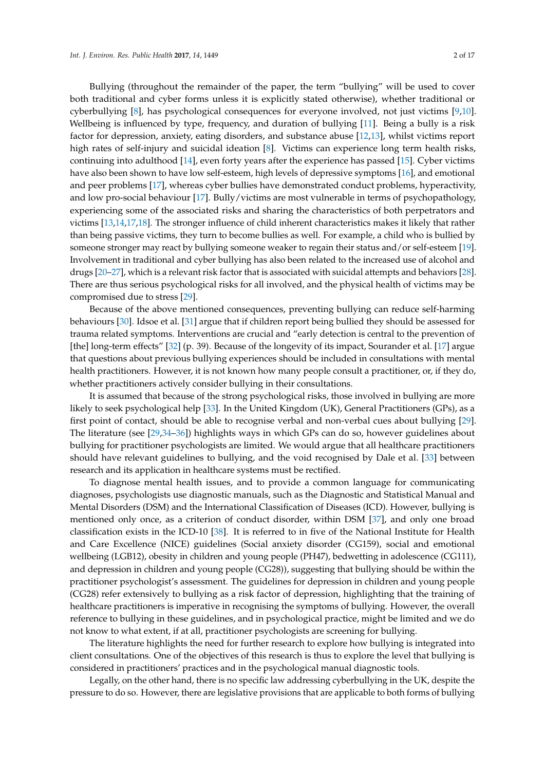Bullying (throughout the remainder of the paper, the term "bullying" will be used to cover both traditional and cyber forms unless it is explicitly stated otherwise), whether traditional or cyberbullying [\[8\]](#page-13-6), has psychological consequences for everyone involved, not just victims [\[9,](#page-13-7)[10\]](#page-13-8). Wellbeing is influenced by type, frequency, and duration of bullying [\[11\]](#page-13-9). Being a bully is a risk factor for depression, anxiety, eating disorders, and substance abuse [\[12,](#page-13-10)[13\]](#page-13-11), whilst victims report high rates of self-injury and suicidal ideation [\[8\]](#page-13-6). Victims can experience long term health risks, continuing into adulthood [\[14\]](#page-13-12), even forty years after the experience has passed [\[15\]](#page-13-13). Cyber victims have also been shown to have low self-esteem, high levels of depressive symptoms [\[16\]](#page-13-14), and emotional and peer problems [\[17\]](#page-13-15), whereas cyber bullies have demonstrated conduct problems, hyperactivity, and low pro-social behaviour [\[17\]](#page-13-15). Bully/victims are most vulnerable in terms of psychopathology, experiencing some of the associated risks and sharing the characteristics of both perpetrators and victims [\[13,](#page-13-11)[14](#page-13-12)[,17](#page-13-15)[,18\]](#page-13-16). The stronger influence of child inherent characteristics makes it likely that rather than being passive victims, they turn to become bullies as well. For example, a child who is bullied by someone stronger may react by bullying someone weaker to regain their status and/or self-esteem [\[19\]](#page-13-17). Involvement in traditional and cyber bullying has also been related to the increased use of alcohol and drugs [\[20–](#page-13-18)[27\]](#page-14-0), which is a relevant risk factor that is associated with suicidal attempts and behaviors [\[28\]](#page-14-1). There are thus serious psychological risks for all involved, and the physical health of victims may be compromised due to stress [\[29\]](#page-14-2).

Because of the above mentioned consequences, preventing bullying can reduce self-harming behaviours [\[30\]](#page-14-3). Idsoe et al. [\[31\]](#page-14-4) argue that if children report being bullied they should be assessed for trauma related symptoms. Interventions are crucial and "early detection is central to the prevention of [the] long-term effects" [\[32\]](#page-14-5) (p. 39). Because of the longevity of its impact, Sourander et al. [\[17\]](#page-13-15) argue that questions about previous bullying experiences should be included in consultations with mental health practitioners. However, it is not known how many people consult a practitioner, or, if they do, whether practitioners actively consider bullying in their consultations.

It is assumed that because of the strong psychological risks, those involved in bullying are more likely to seek psychological help [\[33\]](#page-14-6). In the United Kingdom (UK), General Practitioners (GPs), as a first point of contact, should be able to recognise verbal and non-verbal cues about bullying [\[29\]](#page-14-2). The literature (see [\[29,](#page-14-2)[34](#page-14-7)[–36\]](#page-14-8)) highlights ways in which GPs can do so, however guidelines about bullying for practitioner psychologists are limited. We would argue that all healthcare practitioners should have relevant guidelines to bullying, and the void recognised by Dale et al. [\[33\]](#page-14-6) between research and its application in healthcare systems must be rectified.

To diagnose mental health issues, and to provide a common language for communicating diagnoses, psychologists use diagnostic manuals, such as the Diagnostic and Statistical Manual and Mental Disorders (DSM) and the International Classification of Diseases (ICD). However, bullying is mentioned only once, as a criterion of conduct disorder, within DSM [\[37\]](#page-14-9), and only one broad classification exists in the ICD-10 [\[38\]](#page-14-10). It is referred to in five of the National Institute for Health and Care Excellence (NICE) guidelines (Social anxiety disorder (CG159), social and emotional wellbeing (LGB12), obesity in children and young people (PH47), bedwetting in adolescence (CG111), and depression in children and young people (CG28)), suggesting that bullying should be within the practitioner psychologist's assessment. The guidelines for depression in children and young people (CG28) refer extensively to bullying as a risk factor of depression, highlighting that the training of healthcare practitioners is imperative in recognising the symptoms of bullying. However, the overall reference to bullying in these guidelines, and in psychological practice, might be limited and we do not know to what extent, if at all, practitioner psychologists are screening for bullying.

The literature highlights the need for further research to explore how bullying is integrated into client consultations. One of the objectives of this research is thus to explore the level that bullying is considered in practitioners' practices and in the psychological manual diagnostic tools.

Legally, on the other hand, there is no specific law addressing cyberbullying in the UK, despite the pressure to do so. However, there are legislative provisions that are applicable to both forms of bullying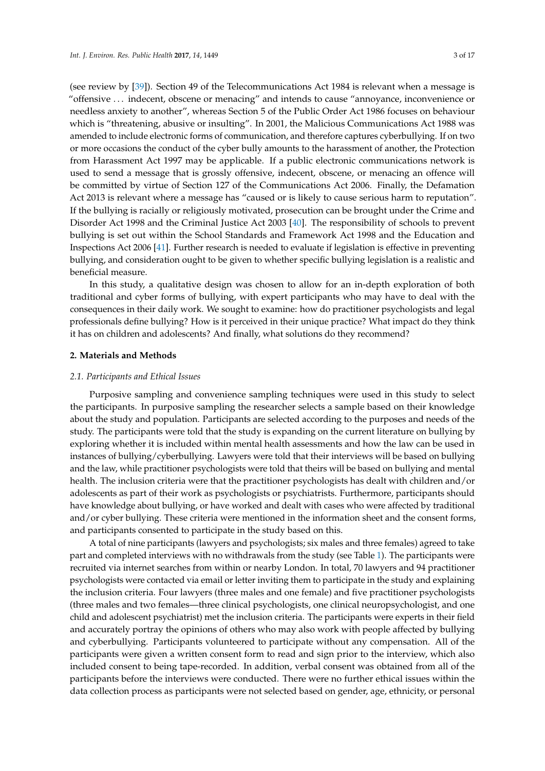(see review by [\[39\]](#page-14-11)). Section 49 of the Telecommunications Act 1984 is relevant when a message is "offensive . . . indecent, obscene or menacing" and intends to cause "annoyance, inconvenience or needless anxiety to another", whereas Section 5 of the Public Order Act 1986 focuses on behaviour which is "threatening, abusive or insulting". In 2001, the Malicious Communications Act 1988 was amended to include electronic forms of communication, and therefore captures cyberbullying. If on two or more occasions the conduct of the cyber bully amounts to the harassment of another, the Protection from Harassment Act 1997 may be applicable. If a public electronic communications network is used to send a message that is grossly offensive, indecent, obscene, or menacing an offence will be committed by virtue of Section 127 of the Communications Act 2006. Finally, the Defamation Act 2013 is relevant where a message has "caused or is likely to cause serious harm to reputation". If the bullying is racially or religiously motivated, prosecution can be brought under the Crime and Disorder Act 1998 and the Criminal Justice Act 2003 [\[40\]](#page-14-12). The responsibility of schools to prevent bullying is set out within the School Standards and Framework Act 1998 and the Education and Inspections Act 2006 [\[41\]](#page-14-13). Further research is needed to evaluate if legislation is effective in preventing bullying, and consideration ought to be given to whether specific bullying legislation is a realistic and beneficial measure.

In this study, a qualitative design was chosen to allow for an in-depth exploration of both traditional and cyber forms of bullying, with expert participants who may have to deal with the consequences in their daily work. We sought to examine: how do practitioner psychologists and legal professionals define bullying? How is it perceived in their unique practice? What impact do they think it has on children and adolescents? And finally, what solutions do they recommend?

## **2. Materials and Methods**

#### *2.1. Participants and Ethical Issues*

Purposive sampling and convenience sampling techniques were used in this study to select the participants. In purposive sampling the researcher selects a sample based on their knowledge about the study and population. Participants are selected according to the purposes and needs of the study. The participants were told that the study is expanding on the current literature on bullying by exploring whether it is included within mental health assessments and how the law can be used in instances of bullying/cyberbullying. Lawyers were told that their interviews will be based on bullying and the law, while practitioner psychologists were told that theirs will be based on bullying and mental health. The inclusion criteria were that the practitioner psychologists has dealt with children and/or adolescents as part of their work as psychologists or psychiatrists. Furthermore, participants should have knowledge about bullying, or have worked and dealt with cases who were affected by traditional and/or cyber bullying. These criteria were mentioned in the information sheet and the consent forms, and participants consented to participate in the study based on this.

A total of nine participants (lawyers and psychologists; six males and three females) agreed to take part and completed interviews with no withdrawals from the study (see Table [1\)](#page-3-0). The participants were recruited via internet searches from within or nearby London. In total, 70 lawyers and 94 practitioner psychologists were contacted via email or letter inviting them to participate in the study and explaining the inclusion criteria. Four lawyers (three males and one female) and five practitioner psychologists (three males and two females—three clinical psychologists, one clinical neuropsychologist, and one child and adolescent psychiatrist) met the inclusion criteria. The participants were experts in their field and accurately portray the opinions of others who may also work with people affected by bullying and cyberbullying. Participants volunteered to participate without any compensation. All of the participants were given a written consent form to read and sign prior to the interview, which also included consent to being tape-recorded. In addition, verbal consent was obtained from all of the participants before the interviews were conducted. There were no further ethical issues within the data collection process as participants were not selected based on gender, age, ethnicity, or personal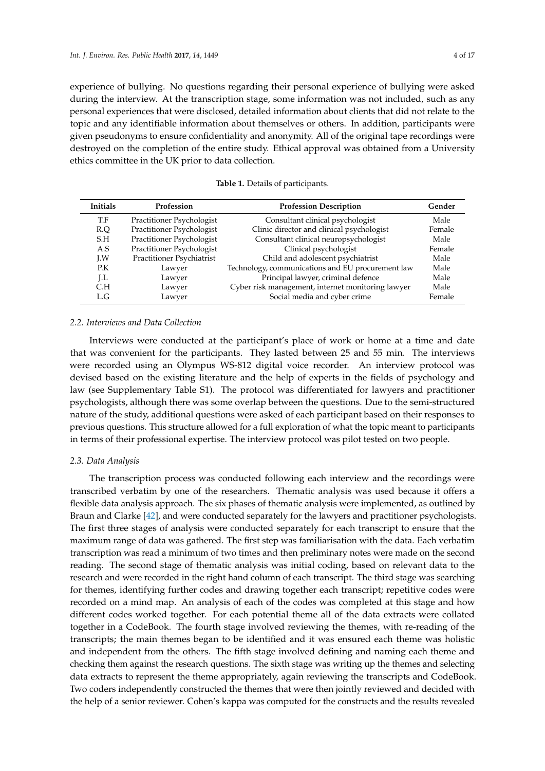experience of bullying. No questions regarding their personal experience of bullying were asked during the interview. At the transcription stage, some information was not included, such as any personal experiences that were disclosed, detailed information about clients that did not relate to the topic and any identifiable information about themselves or others. In addition, participants were given pseudonyms to ensure confidentiality and anonymity. All of the original tape recordings were destroyed on the completion of the entire study. Ethical approval was obtained from a University ethics committee in the UK prior to data collection.

<span id="page-3-0"></span>

| <b>Initials</b> | Profession                | <b>Profession Description</b>                     | Gender |
|-----------------|---------------------------|---------------------------------------------------|--------|
| T.F             | Practitioner Psychologist | Consultant clinical psychologist                  | Male   |
| R.O             | Practitioner Psychologist | Clinic director and clinical psychologist         | Female |
| S.H             | Practitioner Psychologist | Consultant clinical neuropsychologist             | Male   |
| A.S             | Practitioner Psychologist | Clinical psychologist                             | Female |
| LW              | Practitioner Psychiatrist | Child and adolescent psychiatrist                 | Male   |
| P.K             | Lawyer                    | Technology, communications and EU procurement law | Male   |
| LL.             | Lawyer                    | Principal lawyer, criminal defence                | Male   |
| C.H             | Lawyer                    | Cyber risk management, internet monitoring lawyer | Male   |
| L.G             | Lawyer                    | Social media and cyber crime                      | Female |

**Table 1.** Details of participants.

#### *2.2. Interviews and Data Collection*

Interviews were conducted at the participant's place of work or home at a time and date that was convenient for the participants. They lasted between 25 and 55 min. The interviews were recorded using an Olympus WS-812 digital voice recorder. An interview protocol was devised based on the existing literature and the help of experts in the fields of psychology and law (see Supplementary Table S1). The protocol was differentiated for lawyers and practitioner psychologists, although there was some overlap between the questions. Due to the semi-structured nature of the study, additional questions were asked of each participant based on their responses to previous questions. This structure allowed for a full exploration of what the topic meant to participants in terms of their professional expertise. The interview protocol was pilot tested on two people.

## *2.3. Data Analysis*

The transcription process was conducted following each interview and the recordings were transcribed verbatim by one of the researchers. Thematic analysis was used because it offers a flexible data analysis approach. The six phases of thematic analysis were implemented, as outlined by Braun and Clarke [\[42\]](#page-14-14), and were conducted separately for the lawyers and practitioner psychologists. The first three stages of analysis were conducted separately for each transcript to ensure that the maximum range of data was gathered. The first step was familiarisation with the data. Each verbatim transcription was read a minimum of two times and then preliminary notes were made on the second reading. The second stage of thematic analysis was initial coding, based on relevant data to the research and were recorded in the right hand column of each transcript. The third stage was searching for themes, identifying further codes and drawing together each transcript; repetitive codes were recorded on a mind map. An analysis of each of the codes was completed at this stage and how different codes worked together. For each potential theme all of the data extracts were collated together in a CodeBook. The fourth stage involved reviewing the themes, with re-reading of the transcripts; the main themes began to be identified and it was ensured each theme was holistic and independent from the others. The fifth stage involved defining and naming each theme and checking them against the research questions. The sixth stage was writing up the themes and selecting data extracts to represent the theme appropriately, again reviewing the transcripts and CodeBook. Two coders independently constructed the themes that were then jointly reviewed and decided with the help of a senior reviewer. Cohen's kappa was computed for the constructs and the results revealed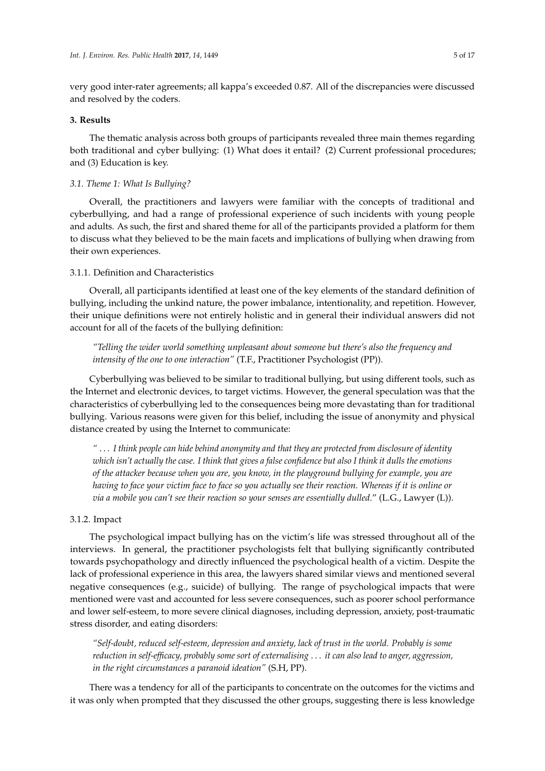very good inter-rater agreements; all kappa's exceeded 0.87. All of the discrepancies were discussed and resolved by the coders.

#### **3. Results**

The thematic analysis across both groups of participants revealed three main themes regarding both traditional and cyber bullying: (1) What does it entail? (2) Current professional procedures; and (3) Education is key.

## *3.1. Theme 1: What Is Bullying?*

Overall, the practitioners and lawyers were familiar with the concepts of traditional and cyberbullying, and had a range of professional experience of such incidents with young people and adults. As such, the first and shared theme for all of the participants provided a platform for them to discuss what they believed to be the main facets and implications of bullying when drawing from their own experiences.

## 3.1.1. Definition and Characteristics

Overall, all participants identified at least one of the key elements of the standard definition of bullying, including the unkind nature, the power imbalance, intentionality, and repetition. However, their unique definitions were not entirely holistic and in general their individual answers did not account for all of the facets of the bullying definition:

*"Telling the wider world something unpleasant about someone but there's also the frequency and intensity of the one to one interaction"* (T.F., Practitioner Psychologist (PP)).

Cyberbullying was believed to be similar to traditional bullying, but using different tools, such as the Internet and electronic devices, to target victims. However, the general speculation was that the characteristics of cyberbullying led to the consequences being more devastating than for traditional bullying. Various reasons were given for this belief, including the issue of anonymity and physical distance created by using the Internet to communicate:

*"* . . . *I think people can hide behind anonymity and that they are protected from disclosure of identity which isn't actually the case. I think that gives a false confidence but also I think it dulls the emotions of the attacker because when you are, you know, in the playground bullying for example, you are having to face your victim face to face so you actually see their reaction. Whereas if it is online or via a mobile you can't see their reaction so your senses are essentially dulled*." (L.G., Lawyer (L)).

## 3.1.2. Impact

The psychological impact bullying has on the victim's life was stressed throughout all of the interviews. In general, the practitioner psychologists felt that bullying significantly contributed towards psychopathology and directly influenced the psychological health of a victim. Despite the lack of professional experience in this area, the lawyers shared similar views and mentioned several negative consequences (e.g., suicide) of bullying. The range of psychological impacts that were mentioned were vast and accounted for less severe consequences, such as poorer school performance and lower self-esteem, to more severe clinical diagnoses, including depression, anxiety, post-traumatic stress disorder, and eating disorders:

*"Self-doubt, reduced self-esteem, depression and anxiety, lack of trust in the world. Probably is some reduction in self-efficacy, probably some sort of externalising* . . . *it can also lead to anger, aggression, in the right circumstances a paranoid ideation"* (S.H, PP).

There was a tendency for all of the participants to concentrate on the outcomes for the victims and it was only when prompted that they discussed the other groups, suggesting there is less knowledge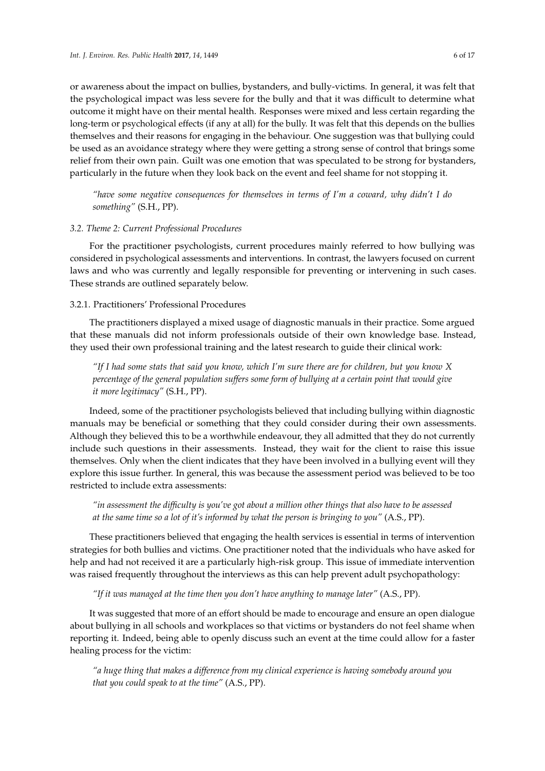or awareness about the impact on bullies, bystanders, and bully-victims. In general, it was felt that the psychological impact was less severe for the bully and that it was difficult to determine what outcome it might have on their mental health. Responses were mixed and less certain regarding the long-term or psychological effects (if any at all) for the bully. It was felt that this depends on the bullies themselves and their reasons for engaging in the behaviour. One suggestion was that bullying could be used as an avoidance strategy where they were getting a strong sense of control that brings some relief from their own pain. Guilt was one emotion that was speculated to be strong for bystanders, particularly in the future when they look back on the event and feel shame for not stopping it.

*"have some negative consequences for themselves in terms of I'm a coward, why didn't I do something"* (S.H., PP).

## *3.2. Theme 2: Current Professional Procedures*

For the practitioner psychologists, current procedures mainly referred to how bullying was considered in psychological assessments and interventions. In contrast, the lawyers focused on current laws and who was currently and legally responsible for preventing or intervening in such cases. These strands are outlined separately below.

## 3.2.1. Practitioners' Professional Procedures

The practitioners displayed a mixed usage of diagnostic manuals in their practice. Some argued that these manuals did not inform professionals outside of their own knowledge base. Instead, they used their own professional training and the latest research to guide their clinical work:

*"If I had some stats that said you know, which I'm sure there are for children, but you know X percentage of the general population suffers some form of bullying at a certain point that would give it more legitimacy"* (S.H., PP).

Indeed, some of the practitioner psychologists believed that including bullying within diagnostic manuals may be beneficial or something that they could consider during their own assessments. Although they believed this to be a worthwhile endeavour, they all admitted that they do not currently include such questions in their assessments. Instead, they wait for the client to raise this issue themselves. Only when the client indicates that they have been involved in a bullying event will they explore this issue further. In general, this was because the assessment period was believed to be too restricted to include extra assessments:

*"in assessment the difficulty is you've got about a million other things that also have to be assessed at the same time so a lot of it's informed by what the person is bringing to you"* (A.S., PP).

These practitioners believed that engaging the health services is essential in terms of intervention strategies for both bullies and victims. One practitioner noted that the individuals who have asked for help and had not received it are a particularly high-risk group. This issue of immediate intervention was raised frequently throughout the interviews as this can help prevent adult psychopathology:

*"If it was managed at the time then you don't have anything to manage later"* (A.S., PP).

It was suggested that more of an effort should be made to encourage and ensure an open dialogue about bullying in all schools and workplaces so that victims or bystanders do not feel shame when reporting it. Indeed, being able to openly discuss such an event at the time could allow for a faster healing process for the victim:

*"a huge thing that makes a difference from my clinical experience is having somebody around you that you could speak to at the time"* (A.S., PP).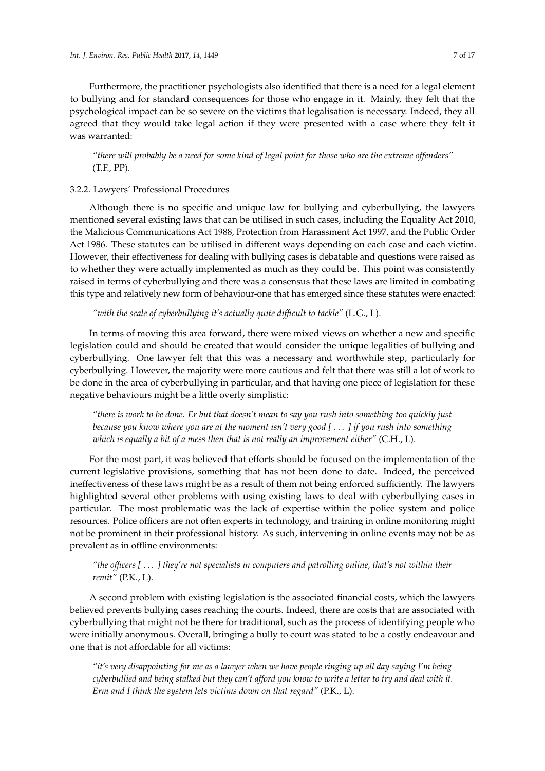Furthermore, the practitioner psychologists also identified that there is a need for a legal element to bullying and for standard consequences for those who engage in it. Mainly, they felt that the psychological impact can be so severe on the victims that legalisation is necessary. Indeed, they all agreed that they would take legal action if they were presented with a case where they felt it was warranted:

*"there will probably be a need for some kind of legal point for those who are the extreme offenders"* (T.F., PP).

## 3.2.2. Lawyers' Professional Procedures

Although there is no specific and unique law for bullying and cyberbullying, the lawyers mentioned several existing laws that can be utilised in such cases, including the Equality Act 2010, the Malicious Communications Act 1988, Protection from Harassment Act 1997, and the Public Order Act 1986. These statutes can be utilised in different ways depending on each case and each victim. However, their effectiveness for dealing with bullying cases is debatable and questions were raised as to whether they were actually implemented as much as they could be. This point was consistently raised in terms of cyberbullying and there was a consensus that these laws are limited in combating this type and relatively new form of behaviour-one that has emerged since these statutes were enacted:

*"with the scale of cyberbullying it's actually quite difficult to tackle"* (L.G., L).

In terms of moving this area forward, there were mixed views on whether a new and specific legislation could and should be created that would consider the unique legalities of bullying and cyberbullying. One lawyer felt that this was a necessary and worthwhile step, particularly for cyberbullying. However, the majority were more cautious and felt that there was still a lot of work to be done in the area of cyberbullying in particular, and that having one piece of legislation for these negative behaviours might be a little overly simplistic:

*"there is work to be done. Er but that doesn't mean to say you rush into something too quickly just because you know where you are at the moment isn't very good [* . . . *] if you rush into something which is equally a bit of a mess then that is not really an improvement either"* (C.H., L).

For the most part, it was believed that efforts should be focused on the implementation of the current legislative provisions, something that has not been done to date. Indeed, the perceived ineffectiveness of these laws might be as a result of them not being enforced sufficiently. The lawyers highlighted several other problems with using existing laws to deal with cyberbullying cases in particular. The most problematic was the lack of expertise within the police system and police resources. Police officers are not often experts in technology, and training in online monitoring might not be prominent in their professional history. As such, intervening in online events may not be as prevalent as in offline environments:

# *"the officers [* . . . *] they're not specialists in computers and patrolling online, that's not within their remit"* (P.K., L).

A second problem with existing legislation is the associated financial costs, which the lawyers believed prevents bullying cases reaching the courts. Indeed, there are costs that are associated with cyberbullying that might not be there for traditional, such as the process of identifying people who were initially anonymous. Overall, bringing a bully to court was stated to be a costly endeavour and one that is not affordable for all victims:

*"it's very disappointing for me as a lawyer when we have people ringing up all day saying I'm being cyberbullied and being stalked but they can't afford you know to write a letter to try and deal with it. Erm and I think the system lets victims down on that regard"* (P.K., L).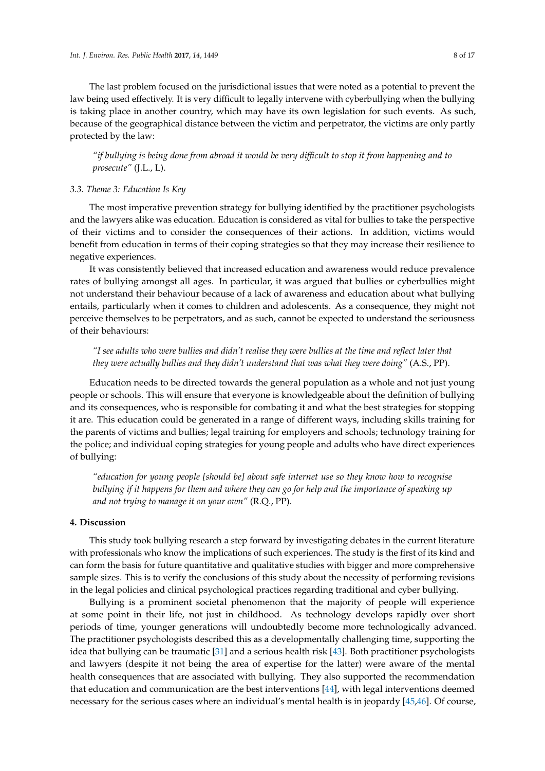The last problem focused on the jurisdictional issues that were noted as a potential to prevent the law being used effectively. It is very difficult to legally intervene with cyberbullying when the bullying is taking place in another country, which may have its own legislation for such events. As such, because of the geographical distance between the victim and perpetrator, the victims are only partly protected by the law:

*"if bullying is being done from abroad it would be very difficult to stop it from happening and to prosecute"* (J.L., L).

## *3.3. Theme 3: Education Is Key*

The most imperative prevention strategy for bullying identified by the practitioner psychologists and the lawyers alike was education. Education is considered as vital for bullies to take the perspective of their victims and to consider the consequences of their actions. In addition, victims would benefit from education in terms of their coping strategies so that they may increase their resilience to negative experiences.

It was consistently believed that increased education and awareness would reduce prevalence rates of bullying amongst all ages. In particular, it was argued that bullies or cyberbullies might not understand their behaviour because of a lack of awareness and education about what bullying entails, particularly when it comes to children and adolescents. As a consequence, they might not perceive themselves to be perpetrators, and as such, cannot be expected to understand the seriousness of their behaviours:

*"I see adults who were bullies and didn't realise they were bullies at the time and reflect later that they were actually bullies and they didn't understand that was what they were doing"* (A.S., PP).

Education needs to be directed towards the general population as a whole and not just young people or schools. This will ensure that everyone is knowledgeable about the definition of bullying and its consequences, who is responsible for combating it and what the best strategies for stopping it are. This education could be generated in a range of different ways, including skills training for the parents of victims and bullies; legal training for employers and schools; technology training for the police; and individual coping strategies for young people and adults who have direct experiences of bullying:

*"education for young people [should be] about safe internet use so they know how to recognise bullying if it happens for them and where they can go for help and the importance of speaking up and not trying to manage it on your own"* (R.Q., PP).

## **4. Discussion**

This study took bullying research a step forward by investigating debates in the current literature with professionals who know the implications of such experiences. The study is the first of its kind and can form the basis for future quantitative and qualitative studies with bigger and more comprehensive sample sizes. This is to verify the conclusions of this study about the necessity of performing revisions in the legal policies and clinical psychological practices regarding traditional and cyber bullying.

Bullying is a prominent societal phenomenon that the majority of people will experience at some point in their life, not just in childhood. As technology develops rapidly over short periods of time, younger generations will undoubtedly become more technologically advanced. The practitioner psychologists described this as a developmentally challenging time, supporting the idea that bullying can be traumatic [\[31\]](#page-14-4) and a serious health risk [\[43\]](#page-14-15). Both practitioner psychologists and lawyers (despite it not being the area of expertise for the latter) were aware of the mental health consequences that are associated with bullying. They also supported the recommendation that education and communication are the best interventions [\[44\]](#page-14-16), with legal interventions deemed necessary for the serious cases where an individual's mental health is in jeopardy [\[45,](#page-14-17)[46\]](#page-14-18). Of course,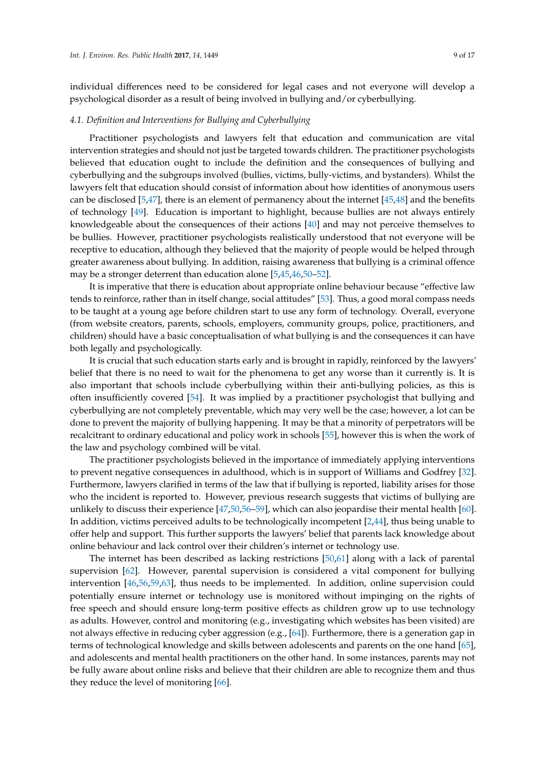individual differences need to be considered for legal cases and not everyone will develop a psychological disorder as a result of being involved in bullying and/or cyberbullying.

## *4.1. Definition and Interventions for Bullying and Cyberbullying*

Practitioner psychologists and lawyers felt that education and communication are vital intervention strategies and should not just be targeted towards children. The practitioner psychologists believed that education ought to include the definition and the consequences of bullying and cyberbullying and the subgroups involved (bullies, victims, bully-victims, and bystanders). Whilst the lawyers felt that education should consist of information about how identities of anonymous users can be disclosed [\[5](#page-13-4)[,47\]](#page-14-19), there is an element of permanency about the internet [\[45](#page-14-17)[,48\]](#page-14-20) and the benefits of technology [\[49\]](#page-15-0). Education is important to highlight, because bullies are not always entirely knowledgeable about the consequences of their actions [\[40\]](#page-14-12) and may not perceive themselves to be bullies. However, practitioner psychologists realistically understood that not everyone will be receptive to education, although they believed that the majority of people would be helped through greater awareness about bullying. In addition, raising awareness that bullying is a criminal offence may be a stronger deterrent than education alone [\[5](#page-13-4)[,45](#page-14-17)[,46,](#page-14-18)[50](#page-15-1)[–52\]](#page-15-2).

It is imperative that there is education about appropriate online behaviour because "effective law tends to reinforce, rather than in itself change, social attitudes" [\[53\]](#page-15-3). Thus, a good moral compass needs to be taught at a young age before children start to use any form of technology. Overall, everyone (from website creators, parents, schools, employers, community groups, police, practitioners, and children) should have a basic conceptualisation of what bullying is and the consequences it can have both legally and psychologically.

It is crucial that such education starts early and is brought in rapidly, reinforced by the lawyers' belief that there is no need to wait for the phenomena to get any worse than it currently is. It is also important that schools include cyberbullying within their anti-bullying policies, as this is often insufficiently covered [\[54\]](#page-15-4). It was implied by a practitioner psychologist that bullying and cyberbullying are not completely preventable, which may very well be the case; however, a lot can be done to prevent the majority of bullying happening. It may be that a minority of perpetrators will be recalcitrant to ordinary educational and policy work in schools [\[55\]](#page-15-5), however this is when the work of the law and psychology combined will be vital.

The practitioner psychologists believed in the importance of immediately applying interventions to prevent negative consequences in adulthood, which is in support of Williams and Godfrey [\[32\]](#page-14-5). Furthermore, lawyers clarified in terms of the law that if bullying is reported, liability arises for those who the incident is reported to. However, previous research suggests that victims of bullying are unlikely to discuss their experience [\[47](#page-14-19)[,50,](#page-15-1)[56](#page-15-6)[–59\]](#page-15-7), which can also jeopardise their mental health [\[60\]](#page-15-8). In addition, victims perceived adults to be technologically incompetent [\[2,](#page-13-1)[44\]](#page-14-16), thus being unable to offer help and support. This further supports the lawyers' belief that parents lack knowledge about online behaviour and lack control over their children's internet or technology use.

The internet has been described as lacking restrictions [\[50](#page-15-1)[,61\]](#page-15-9) along with a lack of parental supervision [\[62\]](#page-15-10). However, parental supervision is considered a vital component for bullying intervention [\[46,](#page-14-18)[56,](#page-15-6)[59,](#page-15-7)[63\]](#page-15-11), thus needs to be implemented. In addition, online supervision could potentially ensure internet or technology use is monitored without impinging on the rights of free speech and should ensure long-term positive effects as children grow up to use technology as adults. However, control and monitoring (e.g., investigating which websites has been visited) are not always effective in reducing cyber aggression (e.g., [\[64\]](#page-15-12)). Furthermore, there is a generation gap in terms of technological knowledge and skills between adolescents and parents on the one hand [\[65\]](#page-15-13), and adolescents and mental health practitioners on the other hand. In some instances, parents may not be fully aware about online risks and believe that their children are able to recognize them and thus they reduce the level of monitoring [\[66\]](#page-15-14).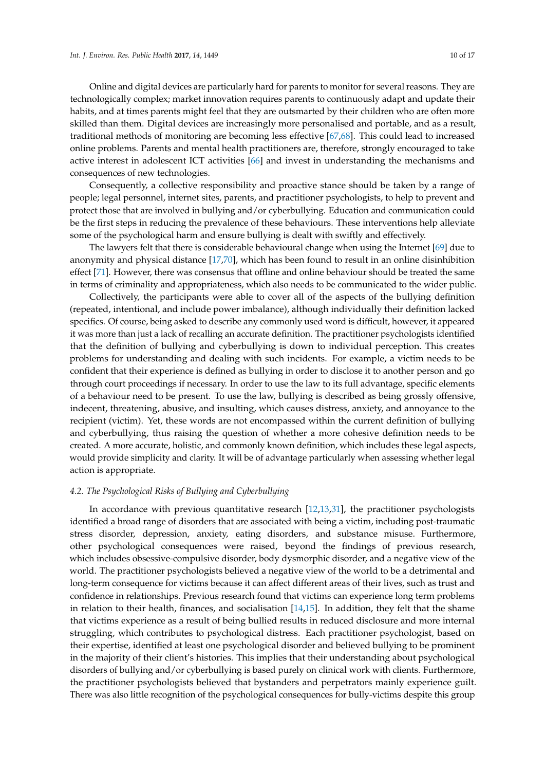Online and digital devices are particularly hard for parents to monitor for several reasons. They are technologically complex; market innovation requires parents to continuously adapt and update their habits, and at times parents might feel that they are outsmarted by their children who are often more skilled than them. Digital devices are increasingly more personalised and portable, and as a result, traditional methods of monitoring are becoming less effective [\[67,](#page-15-15)[68\]](#page-15-16). This could lead to increased online problems. Parents and mental health practitioners are, therefore, strongly encouraged to take active interest in adolescent ICT activities [\[66\]](#page-15-14) and invest in understanding the mechanisms and consequences of new technologies.

Consequently, a collective responsibility and proactive stance should be taken by a range of people; legal personnel, internet sites, parents, and practitioner psychologists, to help to prevent and protect those that are involved in bullying and/or cyberbullying. Education and communication could be the first steps in reducing the prevalence of these behaviours. These interventions help alleviate some of the psychological harm and ensure bullying is dealt with swiftly and effectively.

The lawyers felt that there is considerable behavioural change when using the Internet [\[69\]](#page-15-17) due to anonymity and physical distance [\[17,](#page-13-15)[70\]](#page-15-18), which has been found to result in an online disinhibition effect [\[71\]](#page-15-19). However, there was consensus that offline and online behaviour should be treated the same in terms of criminality and appropriateness, which also needs to be communicated to the wider public.

Collectively, the participants were able to cover all of the aspects of the bullying definition (repeated, intentional, and include power imbalance), although individually their definition lacked specifics. Of course, being asked to describe any commonly used word is difficult, however, it appeared it was more than just a lack of recalling an accurate definition. The practitioner psychologists identified that the definition of bullying and cyberbullying is down to individual perception. This creates problems for understanding and dealing with such incidents. For example, a victim needs to be confident that their experience is defined as bullying in order to disclose it to another person and go through court proceedings if necessary. In order to use the law to its full advantage, specific elements of a behaviour need to be present. To use the law, bullying is described as being grossly offensive, indecent, threatening, abusive, and insulting, which causes distress, anxiety, and annoyance to the recipient (victim). Yet, these words are not encompassed within the current definition of bullying and cyberbullying, thus raising the question of whether a more cohesive definition needs to be created. A more accurate, holistic, and commonly known definition, which includes these legal aspects, would provide simplicity and clarity. It will be of advantage particularly when assessing whether legal action is appropriate.

## *4.2. The Psychological Risks of Bullying and Cyberbullying*

In accordance with previous quantitative research [\[12,](#page-13-10)[13,](#page-13-11)[31\]](#page-14-4), the practitioner psychologists identified a broad range of disorders that are associated with being a victim, including post-traumatic stress disorder, depression, anxiety, eating disorders, and substance misuse. Furthermore, other psychological consequences were raised, beyond the findings of previous research, which includes obsessive-compulsive disorder, body dysmorphic disorder, and a negative view of the world. The practitioner psychologists believed a negative view of the world to be a detrimental and long-term consequence for victims because it can affect different areas of their lives, such as trust and confidence in relationships. Previous research found that victims can experience long term problems in relation to their health, finances, and socialisation [\[14,](#page-13-12)[15\]](#page-13-13). In addition, they felt that the shame that victims experience as a result of being bullied results in reduced disclosure and more internal struggling, which contributes to psychological distress. Each practitioner psychologist, based on their expertise, identified at least one psychological disorder and believed bullying to be prominent in the majority of their client's histories. This implies that their understanding about psychological disorders of bullying and/or cyberbullying is based purely on clinical work with clients. Furthermore, the practitioner psychologists believed that bystanders and perpetrators mainly experience guilt. There was also little recognition of the psychological consequences for bully-victims despite this group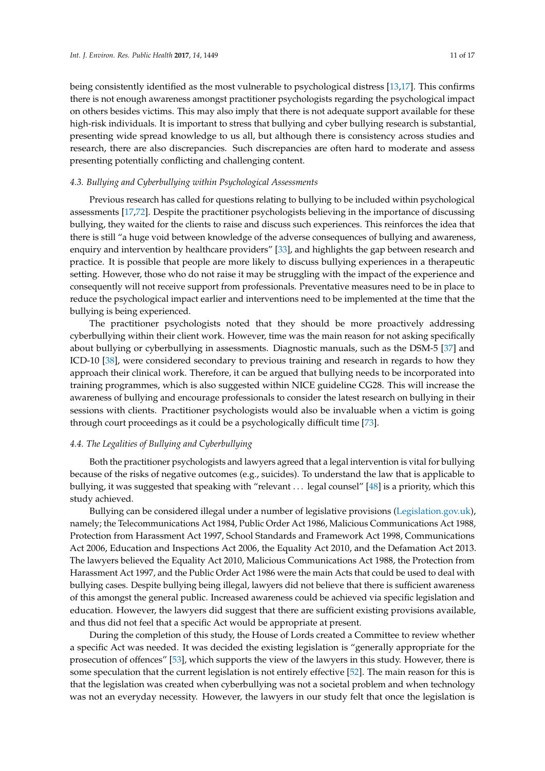being consistently identified as the most vulnerable to psychological distress [\[13,](#page-13-11)[17\]](#page-13-15). This confirms there is not enough awareness amongst practitioner psychologists regarding the psychological impact on others besides victims. This may also imply that there is not adequate support available for these high-risk individuals. It is important to stress that bullying and cyber bullying research is substantial, presenting wide spread knowledge to us all, but although there is consistency across studies and research, there are also discrepancies. Such discrepancies are often hard to moderate and assess presenting potentially conflicting and challenging content.

## *4.3. Bullying and Cyberbullying within Psychological Assessments*

Previous research has called for questions relating to bullying to be included within psychological assessments [\[17,](#page-13-15)[72\]](#page-15-20). Despite the practitioner psychologists believing in the importance of discussing bullying, they waited for the clients to raise and discuss such experiences. This reinforces the idea that there is still "a huge void between knowledge of the adverse consequences of bullying and awareness, enquiry and intervention by healthcare providers" [\[33\]](#page-14-6), and highlights the gap between research and practice. It is possible that people are more likely to discuss bullying experiences in a therapeutic setting. However, those who do not raise it may be struggling with the impact of the experience and consequently will not receive support from professionals. Preventative measures need to be in place to reduce the psychological impact earlier and interventions need to be implemented at the time that the bullying is being experienced.

The practitioner psychologists noted that they should be more proactively addressing cyberbullying within their client work. However, time was the main reason for not asking specifically about bullying or cyberbullying in assessments. Diagnostic manuals, such as the DSM-5 [\[37\]](#page-14-9) and ICD-10 [\[38\]](#page-14-10), were considered secondary to previous training and research in regards to how they approach their clinical work. Therefore, it can be argued that bullying needs to be incorporated into training programmes, which is also suggested within NICE guideline CG28. This will increase the awareness of bullying and encourage professionals to consider the latest research on bullying in their sessions with clients. Practitioner psychologists would also be invaluable when a victim is going through court proceedings as it could be a psychologically difficult time [\[73\]](#page-15-21).

#### *4.4. The Legalities of Bullying and Cyberbullying*

Both the practitioner psychologists and lawyers agreed that a legal intervention is vital for bullying because of the risks of negative outcomes (e.g., suicides). To understand the law that is applicable to bullying, it was suggested that speaking with "relevant . . . legal counsel" [\[48\]](#page-14-20) is a priority, which this study achieved.

Bullying can be considered illegal under a number of legislative provisions [\(Legislation.gov.uk\)](Legislation.gov.uk), namely; the Telecommunications Act 1984, Public Order Act 1986, Malicious Communications Act 1988, Protection from Harassment Act 1997, School Standards and Framework Act 1998, Communications Act 2006, Education and Inspections Act 2006, the Equality Act 2010, and the Defamation Act 2013. The lawyers believed the Equality Act 2010, Malicious Communications Act 1988, the Protection from Harassment Act 1997, and the Public Order Act 1986 were the main Acts that could be used to deal with bullying cases. Despite bullying being illegal, lawyers did not believe that there is sufficient awareness of this amongst the general public. Increased awareness could be achieved via specific legislation and education. However, the lawyers did suggest that there are sufficient existing provisions available, and thus did not feel that a specific Act would be appropriate at present.

During the completion of this study, the House of Lords created a Committee to review whether a specific Act was needed. It was decided the existing legislation is "generally appropriate for the prosecution of offences" [\[53\]](#page-15-3), which supports the view of the lawyers in this study. However, there is some speculation that the current legislation is not entirely effective [\[52\]](#page-15-2). The main reason for this is that the legislation was created when cyberbullying was not a societal problem and when technology was not an everyday necessity. However, the lawyers in our study felt that once the legislation is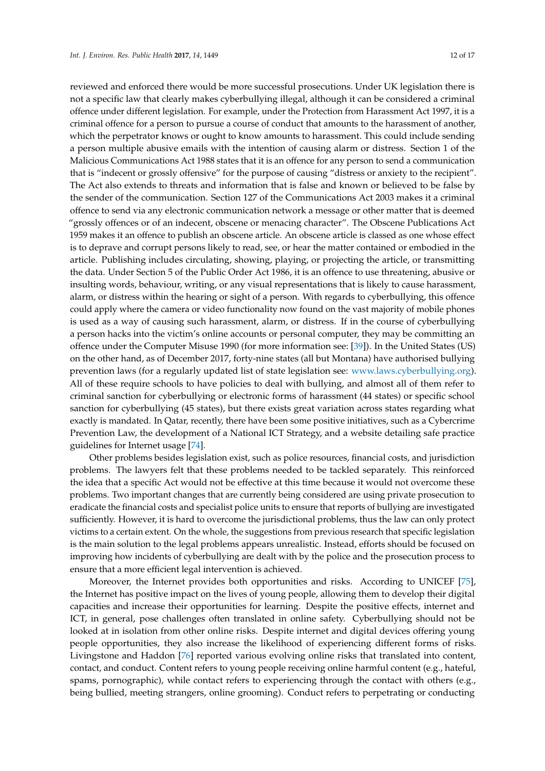reviewed and enforced there would be more successful prosecutions. Under UK legislation there is not a specific law that clearly makes cyberbullying illegal, although it can be considered a criminal offence under different legislation. For example, under the Protection from Harassment Act 1997, it is a criminal offence for a person to pursue a course of conduct that amounts to the harassment of another, which the perpetrator knows or ought to know amounts to harassment. This could include sending a person multiple abusive emails with the intention of causing alarm or distress. Section 1 of the Malicious Communications Act 1988 states that it is an offence for any person to send a communication that is "indecent or grossly offensive" for the purpose of causing "distress or anxiety to the recipient". The Act also extends to threats and information that is false and known or believed to be false by the sender of the communication. Section 127 of the Communications Act 2003 makes it a criminal offence to send via any electronic communication network a message or other matter that is deemed "grossly offences or of an indecent, obscene or menacing character". The Obscene Publications Act 1959 makes it an offence to publish an obscene article. An obscene article is classed as one whose effect is to deprave and corrupt persons likely to read, see, or hear the matter contained or embodied in the article. Publishing includes circulating, showing, playing, or projecting the article, or transmitting the data. Under Section 5 of the Public Order Act 1986, it is an offence to use threatening, abusive or insulting words, behaviour, writing, or any visual representations that is likely to cause harassment, alarm, or distress within the hearing or sight of a person. With regards to cyberbullying, this offence could apply where the camera or video functionality now found on the vast majority of mobile phones is used as a way of causing such harassment, alarm, or distress. If in the course of cyberbullying a person hacks into the victim's online accounts or personal computer, they may be committing an offence under the Computer Misuse 1990 (for more information see: [\[39\]](#page-14-11)). In the United States (US) on the other hand, as of December 2017, forty-nine states (all but Montana) have authorised bullying prevention laws (for a regularly updated list of state legislation see: [www.laws.cyberbullying.org\)](www.laws.cyberbullying.org). All of these require schools to have policies to deal with bullying, and almost all of them refer to criminal sanction for cyberbullying or electronic forms of harassment (44 states) or specific school sanction for cyberbullying (45 states), but there exists great variation across states regarding what exactly is mandated. In Qatar, recently, there have been some positive initiatives, such as a Cybercrime Prevention Law, the development of a National ICT Strategy, and a website detailing safe practice guidelines for Internet usage [\[74\]](#page-15-22).

Other problems besides legislation exist, such as police resources, financial costs, and jurisdiction problems. The lawyers felt that these problems needed to be tackled separately. This reinforced the idea that a specific Act would not be effective at this time because it would not overcome these problems. Two important changes that are currently being considered are using private prosecution to eradicate the financial costs and specialist police units to ensure that reports of bullying are investigated sufficiently. However, it is hard to overcome the jurisdictional problems, thus the law can only protect victims to a certain extent. On the whole, the suggestions from previous research that specific legislation is the main solution to the legal problems appears unrealistic. Instead, efforts should be focused on improving how incidents of cyberbullying are dealt with by the police and the prosecution process to ensure that a more efficient legal intervention is achieved.

Moreover, the Internet provides both opportunities and risks. According to UNICEF [\[75\]](#page-16-0), the Internet has positive impact on the lives of young people, allowing them to develop their digital capacities and increase their opportunities for learning. Despite the positive effects, internet and ICT, in general, pose challenges often translated in online safety. Cyberbullying should not be looked at in isolation from other online risks. Despite internet and digital devices offering young people opportunities, they also increase the likelihood of experiencing different forms of risks. Livingstone and Haddon [\[76\]](#page-16-1) reported various evolving online risks that translated into content, contact, and conduct. Content refers to young people receiving online harmful content (e.g., hateful, spams, pornographic), while contact refers to experiencing through the contact with others (e.g., being bullied, meeting strangers, online grooming). Conduct refers to perpetrating or conducting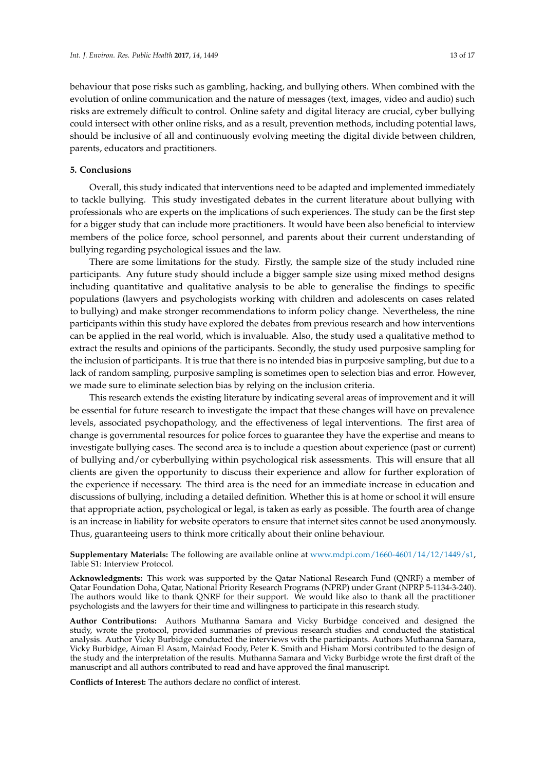behaviour that pose risks such as gambling, hacking, and bullying others. When combined with the evolution of online communication and the nature of messages (text, images, video and audio) such risks are extremely difficult to control. Online safety and digital literacy are crucial, cyber bullying could intersect with other online risks, and as a result, prevention methods, including potential laws, should be inclusive of all and continuously evolving meeting the digital divide between children, parents, educators and practitioners.

## **5. Conclusions**

Overall, this study indicated that interventions need to be adapted and implemented immediately to tackle bullying. This study investigated debates in the current literature about bullying with professionals who are experts on the implications of such experiences. The study can be the first step for a bigger study that can include more practitioners. It would have been also beneficial to interview members of the police force, school personnel, and parents about their current understanding of bullying regarding psychological issues and the law.

There are some limitations for the study. Firstly, the sample size of the study included nine participants. Any future study should include a bigger sample size using mixed method designs including quantitative and qualitative analysis to be able to generalise the findings to specific populations (lawyers and psychologists working with children and adolescents on cases related to bullying) and make stronger recommendations to inform policy change. Nevertheless, the nine participants within this study have explored the debates from previous research and how interventions can be applied in the real world, which is invaluable. Also, the study used a qualitative method to extract the results and opinions of the participants. Secondly, the study used purposive sampling for the inclusion of participants. It is true that there is no intended bias in purposive sampling, but due to a lack of random sampling, purposive sampling is sometimes open to selection bias and error. However, we made sure to eliminate selection bias by relying on the inclusion criteria.

This research extends the existing literature by indicating several areas of improvement and it will be essential for future research to investigate the impact that these changes will have on prevalence levels, associated psychopathology, and the effectiveness of legal interventions. The first area of change is governmental resources for police forces to guarantee they have the expertise and means to investigate bullying cases. The second area is to include a question about experience (past or current) of bullying and/or cyberbullying within psychological risk assessments. This will ensure that all clients are given the opportunity to discuss their experience and allow for further exploration of the experience if necessary. The third area is the need for an immediate increase in education and discussions of bullying, including a detailed definition. Whether this is at home or school it will ensure that appropriate action, psychological or legal, is taken as early as possible. The fourth area of change is an increase in liability for website operators to ensure that internet sites cannot be used anonymously. Thus, guaranteeing users to think more critically about their online behaviour.

**Supplementary Materials:** The following are available online at [www.mdpi.com/1660-4601/14/12/1449/s1,](www.mdpi.com/1660-4601/14/12/1449/s1) Table S1: Interview Protocol.

**Acknowledgments:** This work was supported by the Qatar National Research Fund (QNRF) a member of Qatar Foundation Doha, Qatar, National Priority Research Programs (NPRP) under Grant (NPRP 5-1134-3-240). The authors would like to thank QNRF for their support. We would like also to thank all the practitioner psychologists and the lawyers for their time and willingness to participate in this research study.

**Author Contributions:** Authors Muthanna Samara and Vicky Burbidge conceived and designed the study, wrote the protocol, provided summaries of previous research studies and conducted the statistical analysis. Author Vicky Burbidge conducted the interviews with the participants. Authors Muthanna Samara, Vicky Burbidge, Aiman El Asam, Mairéad Foody, Peter K. Smith and Hisham Morsi contributed to the design of the study and the interpretation of the results. Muthanna Samara and Vicky Burbidge wrote the first draft of the manuscript and all authors contributed to read and have approved the final manuscript.

**Conflicts of Interest:** The authors declare no conflict of interest.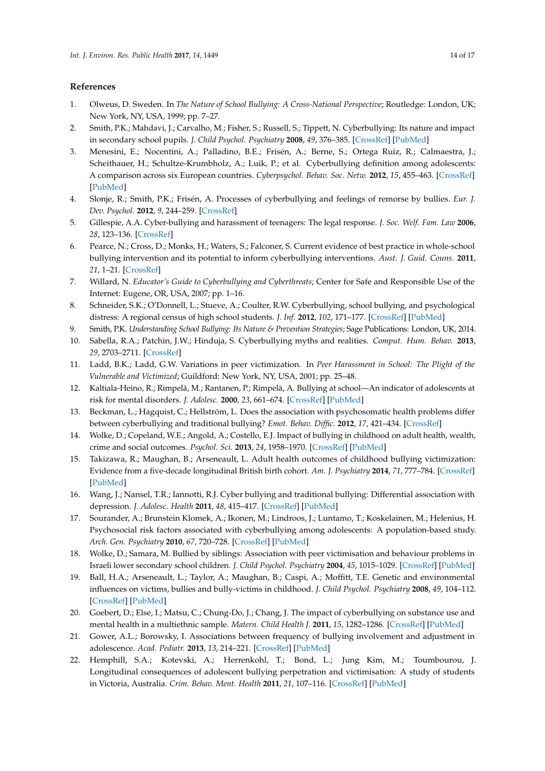# **References**

- <span id="page-13-0"></span>1. Olweus, D. Sweden. In *The Nature of School Bullying: A Cross-National Perspective*; Routledge: London, UK; New York, NY, USA, 1999; pp. 7–27.
- <span id="page-13-1"></span>2. Smith, P.K.; Mahdavi, J.; Carvalho, M.; Fisher, S.; Russell, S.; Tippett, N. Cyberbullying: Its nature and impact in secondary school pupils. *J. Child Psychol. Psychiatry* **2008**, *49*, 376–385. [\[CrossRef\]](http://dx.doi.org/10.1111/j.1469-7610.2007.01846.x) [\[PubMed\]](http://www.ncbi.nlm.nih.gov/pubmed/18363945)
- <span id="page-13-2"></span>3. Menesini, E.; Nocentini, A.; Palladino, B.E.; Frisén, A.; Berne, S.; Ortega Ruiz, R.; Calmaestra, J.; Scheithauer, H.; Schultze-Krumbholz, A.; Luik, P.; et al. Cyberbullying definition among adolescents: A comparison across six European countries. *Cyberpsychol. Behav. Soc. Netw.* **2012**, *15*, 455–463. [\[CrossRef\]](http://dx.doi.org/10.1089/cyber.2012.0040) [\[PubMed\]](http://www.ncbi.nlm.nih.gov/pubmed/22817693)
- <span id="page-13-3"></span>4. Slonje, R.; Smith, P.K.; Frisén, A. Processes of cyberbullying and feelings of remorse by bullies. *Eur. J. Dev. Psychol.* **2012**, *9*, 244–259. [\[CrossRef\]](http://dx.doi.org/10.1080/17405629.2011.643670)
- <span id="page-13-4"></span>5. Gillespie, A.A. Cyber-bullying and harassment of teenagers: The legal response. *J. Soc. Welf. Fam. Law* **2006**, *28*, 123–136. [\[CrossRef\]](http://dx.doi.org/10.1080/09649060600973772)
- 6. Pearce, N.; Cross, D.; Monks, H.; Waters, S.; Falconer, S. Current evidence of best practice in whole-school bullying intervention and its potential to inform cyberbullying interventions. *Aust. J. Guid. Couns.* **2011**, *21*, 1–21. [\[CrossRef\]](http://dx.doi.org/10.1375/ajgc.21.1.1)
- <span id="page-13-5"></span>7. Willard, N. *Educator's Guide to Cyberbullying and Cyberthreats*; Center for Safe and Responsible Use of the Internet: Eugene, OR, USA, 2007; pp. 1–16.
- <span id="page-13-6"></span>8. Schneider, S.K.; O'Donnell, L.; Stueve, A.; Coulter, R.W. Cyberbullying, school bullying, and psychological distress: A regional census of high school students. *J. Inf.* **2012**, *102*, 171–177. [\[CrossRef\]](http://dx.doi.org/10.2105/AJPH.2011.300308) [\[PubMed\]](http://www.ncbi.nlm.nih.gov/pubmed/22095343)
- <span id="page-13-7"></span>9. Smith, P.K. *Understanding School Bullying: Its Nature & Prevention Strategies*; Sage Publications: London, UK, 2014.
- <span id="page-13-8"></span>10. Sabella, R.A.; Patchin, J.W.; Hinduja, S. Cyberbullying myths and realities. *Comput. Hum. Behav.* **2013**, *29*, 2703–2711. [\[CrossRef\]](http://dx.doi.org/10.1016/j.chb.2013.06.040)
- <span id="page-13-9"></span>11. Ladd, B.K.; Ladd, G.W. Variations in peer victimization. In *Peer Harassment in School: The Plight of the Vulnerable and Victimized*; Guildford: New York, NY, USA, 2001; pp. 25–48.
- <span id="page-13-10"></span>12. Kaltiala-Heino, R.; Rimpelä, M.; Rantanen, P.; Rimpelä, A. Bullying at school—An indicator of adolescents at risk for mental disorders. *J. Adolesc.* **2000**, *23*, 661–674. [\[CrossRef\]](http://dx.doi.org/10.1006/jado.2000.0351) [\[PubMed\]](http://www.ncbi.nlm.nih.gov/pubmed/11161331)
- <span id="page-13-11"></span>13. Beckman, L.; Hagquist, C.; Hellström, L. Does the association with psychosomatic health problems differ between cyberbullying and traditional bullying? *Emot. Behav. Diffic.* **2012**, *17*, 421–434. [\[CrossRef\]](http://dx.doi.org/10.1080/13632752.2012.704228)
- <span id="page-13-12"></span>14. Wolke, D.; Copeland, W.E.; Angold, A.; Costello, E.J. Impact of bullying in childhood on adult health, wealth, crime and social outcomes. *Psychol. Sci.* **2013**, *24*, 1958–1970. [\[CrossRef\]](http://dx.doi.org/10.1177/0956797613481608) [\[PubMed\]](http://www.ncbi.nlm.nih.gov/pubmed/23959952)
- <span id="page-13-13"></span>15. Takizawa, R.; Maughan, B.; Arseneault, L. Adult health outcomes of childhood bullying victimization: Evidence from a five-decade longitudinal British birth cohort. *Am. J. Psychiatry* **2014**, *71*, 777–784. [\[CrossRef\]](http://dx.doi.org/10.1176/appi.ajp.2014.13101401) [\[PubMed\]](http://www.ncbi.nlm.nih.gov/pubmed/24743774)
- <span id="page-13-14"></span>16. Wang, J.; Nansel, T.R.; Iannotti, R.J. Cyber bullying and traditional bullying: Differential association with depression. *J. Adolesc. Health* **2011**, *48*, 415–417. [\[CrossRef\]](http://dx.doi.org/10.1016/j.jadohealth.2010.07.012) [\[PubMed\]](http://www.ncbi.nlm.nih.gov/pubmed/21402273)
- <span id="page-13-15"></span>17. Sourander, A.; Brunstein Klomek, A.; Ikonen, M.; Lindroos, J.; Luntamo, T.; Koskelainen, M.; Helenius, H. Psychosocial risk factors associated with cyberbullying among adolescents: A population-based study. *Arch. Gen. Psychiatry* **2010**, *67*, 720–728. [\[CrossRef\]](http://dx.doi.org/10.1001/archgenpsychiatry.2010.79) [\[PubMed\]](http://www.ncbi.nlm.nih.gov/pubmed/20603453)
- <span id="page-13-16"></span>18. Wolke, D.; Samara, M. Bullied by siblings: Association with peer victimisation and behaviour problems in Israeli lower secondary school children. *J. Child Psychol. Psychiatry* **2004**, *45*, 1015–1029. [\[CrossRef\]](http://dx.doi.org/10.1111/j.1469-7610.2004.t01-1-00293.x) [\[PubMed\]](http://www.ncbi.nlm.nih.gov/pubmed/15225343)
- <span id="page-13-17"></span>19. Ball, H.A.; Arseneault, L.; Taylor, A.; Maughan, B.; Caspi, A.; Moffitt, T.E. Genetic and environmental influences on victims, bullies and bully-victims in childhood. *J. Child Psychol. Psychiatry* **2008**, *49*, 104–112. [\[CrossRef\]](http://dx.doi.org/10.1111/j.1469-7610.2007.01821.x) [\[PubMed\]](http://www.ncbi.nlm.nih.gov/pubmed/18181884)
- <span id="page-13-18"></span>20. Goebert, D.; Else, I.; Matsu, C.; Chung-Do, J.; Chang, J. The impact of cyberbullying on substance use and mental health in a multiethnic sample. *Matern. Child Health J.* **2011**, *15*, 1282–1286. [\[CrossRef\]](http://dx.doi.org/10.1007/s10995-010-0672-x) [\[PubMed\]](http://www.ncbi.nlm.nih.gov/pubmed/20824318)
- 21. Gower, A.L.; Borowsky, I. Associations between frequency of bullying involvement and adjustment in adolescence. *Acad. Pediatr.* **2013**, *13*, 214–221. [\[CrossRef\]](http://dx.doi.org/10.1016/j.acap.2013.02.004) [\[PubMed\]](http://www.ncbi.nlm.nih.gov/pubmed/23680340)
- 22. Hemphill, S.A.; Kotevski, A.; Herrenkohl, T.; Bond, L.; Jung Kim, M.; Toumbourou, J. Longitudinal consequences of adolescent bullying perpetration and victimisation: A study of students in Victoria, Australia. *Crim. Behav. Ment. Health* **2011**, *21*, 107–116. [\[CrossRef\]](http://dx.doi.org/10.1002/cbm.802) [\[PubMed\]](http://www.ncbi.nlm.nih.gov/pubmed/21370296)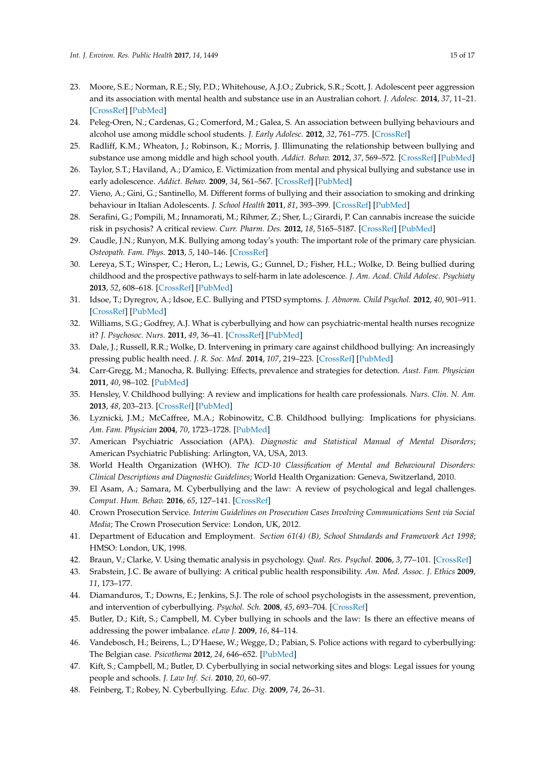- 23. Moore, S.E.; Norman, R.E.; Sly, P.D.; Whitehouse, A.J.O.; Zubrick, S.R.; Scott, J. Adolescent peer aggression and its association with mental health and substance use in an Australian cohort. *J. Adolesc.* **2014**, *37*, 11–21. [\[CrossRef\]](http://dx.doi.org/10.1016/j.adolescence.2013.10.006) [\[PubMed\]](http://www.ncbi.nlm.nih.gov/pubmed/24331300)
- 24. Peleg-Oren, N.; Cardenas, G.; Comerford, M.; Galea, S. An association between bullying behaviours and alcohol use among middle school students. *J. Early Adolesc.* **2012**, *32*, 761–775. [\[CrossRef\]](http://dx.doi.org/10.1177/0272431610387144)
- 25. Radliff, K.M.; Wheaton, J.; Robinson, K.; Morris, J. Illimunating the relationship between bullying and substance use among middle and high school youth. *Addict. Behav.* **2012**, *37*, 569–572. [\[CrossRef\]](http://dx.doi.org/10.1016/j.addbeh.2012.01.001) [\[PubMed\]](http://www.ncbi.nlm.nih.gov/pubmed/22277772)
- 26. Taylor, S.T.; Haviland, A.; D'amico, E. Victimization from mental and physical bullying and substance use in early adolescence. *Addict. Behav.* **2009**, *34*, 561–567. [\[CrossRef\]](http://dx.doi.org/10.1016/j.addbeh.2009.03.012) [\[PubMed\]](http://www.ncbi.nlm.nih.gov/pubmed/19398162)
- <span id="page-14-0"></span>27. Vieno, A.; Gini, G.; Santinello, M. Different forms of bullying and their association to smoking and drinking behaviour in Italian Adolescents. *J. School Health* **2011**, *81*, 393–399. [\[CrossRef\]](http://dx.doi.org/10.1111/j.1746-1561.2011.00607.x) [\[PubMed\]](http://www.ncbi.nlm.nih.gov/pubmed/21668879)
- <span id="page-14-1"></span>28. Serafini, G.; Pompili, M.; Innamorati, M.; Rihmer, Z.; Sher, L.; Girardi, P. Can cannabis increase the suicide risk in psychosis? A critical review. *Curr. Pharm. Des.* **2012**, *18*, 5165–5187. [\[CrossRef\]](http://dx.doi.org/10.2174/138161212802884663) [\[PubMed\]](http://www.ncbi.nlm.nih.gov/pubmed/22716157)
- <span id="page-14-2"></span>29. Caudle, J.N.; Runyon, M.K. Bullying among today's youth: The important role of the primary care physician. *Osteopath. Fam. Phys.* **2013**, *5*, 140–146. [\[CrossRef\]](http://dx.doi.org/10.1016/j.osfp.2013.01.008)
- <span id="page-14-3"></span>30. Lereya, S.T.; Winsper, C.; Heron, L.; Lewis, G.; Gunnel, D.; Fisher, H.L.; Wolke, D. Being bullied during childhood and the prospective pathways to self-harm in late adolescence. *J. Am. Acad. Child Adolesc. Psychiaty* **2013**, *52*, 608–618. [\[CrossRef\]](http://dx.doi.org/10.1016/j.jaac.2013.03.012) [\[PubMed\]](http://www.ncbi.nlm.nih.gov/pubmed/23702450)
- <span id="page-14-4"></span>31. Idsoe, T.; Dyregrov, A.; Idsoe, E.C. Bullying and PTSD symptoms. *J. Abnorm. Child Psychol.* **2012**, *40*, 901–911. [\[CrossRef\]](http://dx.doi.org/10.1007/s10802-012-9620-0) [\[PubMed\]](http://www.ncbi.nlm.nih.gov/pubmed/22391775)
- <span id="page-14-5"></span>32. Williams, S.G.; Godfrey, A.J. What is cyberbullying and how can psychiatric-mental health nurses recognize it? *J. Psychosoc. Nurs.* **2011**, *49*, 36–41. [\[CrossRef\]](http://dx.doi.org/10.3928/02793695-20110831-03) [\[PubMed\]](http://www.ncbi.nlm.nih.gov/pubmed/21919428)
- <span id="page-14-6"></span>33. Dale, J.; Russell, R.R.; Wolke, D. Intervening in primary care against childhood bullying: An increasingly pressing public health need. *J. R. Soc. Med.* **2014**, *107*, 219–223. [\[CrossRef\]](http://dx.doi.org/10.1177/0141076814525071) [\[PubMed\]](http://www.ncbi.nlm.nih.gov/pubmed/24643656)
- <span id="page-14-7"></span>34. Carr-Gregg, M.; Manocha, R. Bullying: Effects, prevalence and strategies for detection. *Aust. Fam. Physician* **2011**, *40*, 98–102. [\[PubMed\]](http://www.ncbi.nlm.nih.gov/pubmed/21597508)
- 35. Hensley, V. Childhood bullying: A review and implications for health care professionals. *Nurs. Clin. N. Am.* **2013**, *48*, 203–213. [\[CrossRef\]](http://dx.doi.org/10.1016/j.cnur.2013.01.014) [\[PubMed\]](http://www.ncbi.nlm.nih.gov/pubmed/23659808)
- <span id="page-14-8"></span>36. Lyznicki, J.M.; McCaffree, M.A.; Robinowitz, C.B. Childhood bullying: Implications for physicians. *Am. Fam. Physician* **2004**, *70*, 1723–1728. [\[PubMed\]](http://www.ncbi.nlm.nih.gov/pubmed/15554490)
- <span id="page-14-9"></span>37. American Psychiatric Association (APA). *Diagnostic and Statistical Manual of Mental Disorders*; American Psychiatric Publishing: Arlington, VA, USA, 2013.
- <span id="page-14-10"></span>38. World Health Organization (WHO). *The ICD-10 Classification of Mental and Behavioural Disorders: Clinical Descriptions and Diagnostic Guidelines*; World Health Organization: Geneva, Switzerland, 2010.
- <span id="page-14-11"></span>39. El Asam, A.; Samara, M. Cyberbullying and the law: A review of psychological and legal challenges. *Comput. Hum. Behav.* **2016**, *65*, 127–141. [\[CrossRef\]](http://dx.doi.org/10.1016/j.chb.2016.08.012)
- <span id="page-14-12"></span>40. Crown Prosecution Service. *Interim Guidelines on Prosecution Cases Involving Communications Sent via Social Media*; The Crown Prosecution Service: London, UK, 2012.
- <span id="page-14-13"></span>41. Department of Education and Employment. *Section 61(4) (B), School Standards and Framework Act 1998*; HMSO: London, UK, 1998.
- <span id="page-14-14"></span>42. Braun, V.; Clarke, V. Using thematic analysis in psychology. *Qual. Res. Psychol.* **2006**, *3*, 77–101. [\[CrossRef\]](http://dx.doi.org/10.1191/1478088706qp063oa)
- <span id="page-14-15"></span>43. Srabstein, J.C. Be aware of bullying: A critical public health responsibility. *Am. Med. Assoc. J. Ethics* **2009**, *11*, 173–177.
- <span id="page-14-16"></span>44. Diamanduros, T.; Downs, E.; Jenkins, S.J. The role of school psychologists in the assessment, prevention, and intervention of cyberbullying. *Psychol. Sch.* **2008**, *45*, 693–704. [\[CrossRef\]](http://dx.doi.org/10.1002/pits.20335)
- <span id="page-14-17"></span>45. Butler, D.; Kift, S.; Campbell, M. Cyber bullying in schools and the law: Is there an effective means of addressing the power imbalance. *eLaw J.* **2009**, *16*, 84–114.
- <span id="page-14-18"></span>46. Vandebosch, H.; Beirens, L.; D'Haese, W.; Wegge, D.; Pabian, S. Police actions with regard to cyberbullying: The Belgian case. *Psicothema* **2012**, *24*, 646–652. [\[PubMed\]](http://www.ncbi.nlm.nih.gov/pubmed/23079365)
- <span id="page-14-19"></span>47. Kift, S.; Campbell, M.; Butler, D. Cyberbullying in social networking sites and blogs: Legal issues for young people and schools. *J. Law Inf. Sci.* **2010**, *20*, 60–97.
- <span id="page-14-20"></span>48. Feinberg, T.; Robey, N. Cyberbullying. *Educ. Dig.* **2009**, *74*, 26–31.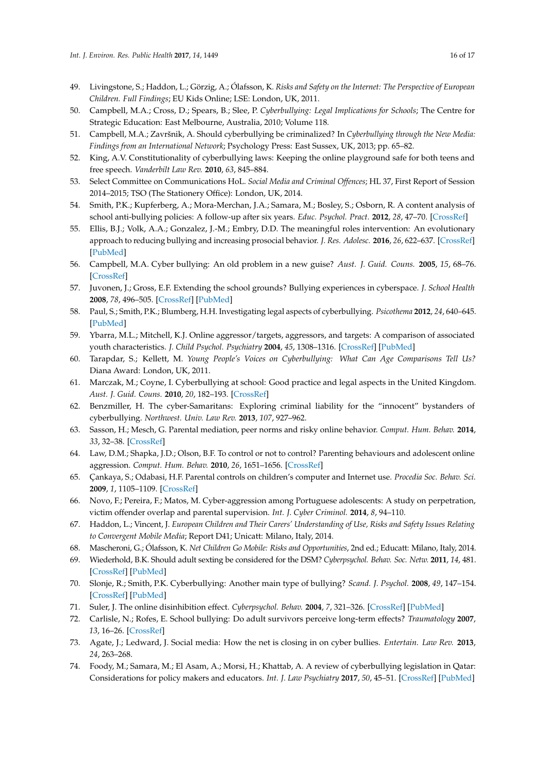- <span id="page-15-0"></span>49. Livingstone, S.; Haddon, L.; Görzig, A.; Ólafsson, K. *Risks and Safety on the Internet: The Perspective of European Children. Full Findings*; EU Kids Online; LSE: London, UK, 2011.
- <span id="page-15-1"></span>50. Campbell, M.A.; Cross, D.; Spears, B.; Slee, P. *Cyberbullying: Legal Implications for Schools*; The Centre for Strategic Education: East Melbourne, Australia, 2010; Volume 118.
- 51. Campbell, M.A.; Završnik, A. Should cyberbullying be criminalized? In *Cyberbullying through the New Media: Findings from an International Network*; Psychology Press: East Sussex, UK, 2013; pp. 65–82.
- <span id="page-15-2"></span>52. King, A.V. Constitutionality of cyberbullying laws: Keeping the online playground safe for both teens and free speech. *Vanderbilt Law Rev.* **2010**, *63*, 845–884.
- <span id="page-15-3"></span>53. Select Committee on Communications HoL. *Social Media and Criminal Offences*; HL 37, First Report of Session 2014–2015; TSO (The Stationery Office): London, UK, 2014.
- <span id="page-15-4"></span>54. Smith, P.K.; Kupferberg, A.; Mora-Merchan, J.A.; Samara, M.; Bosley, S.; Osborn, R. A content analysis of school anti-bullying policies: A follow-up after six years. *Educ. Psychol. Pract.* **2012**, *28*, 47–70. [\[CrossRef\]](http://dx.doi.org/10.1080/02667363.2011.639344)
- <span id="page-15-5"></span>55. Ellis, B.J.; Volk, A.A.; Gonzalez, J.-M.; Embry, D.D. The meaningful roles intervention: An evolutionary approach to reducing bullying and increasing prosocial behavior. *J. Res. Adolesc.* **2016**, *26*, 622–637. [\[CrossRef\]](http://dx.doi.org/10.1111/jora.12243) [\[PubMed\]](http://www.ncbi.nlm.nih.gov/pubmed/28453200)
- <span id="page-15-6"></span>56. Campbell, M.A. Cyber bullying: An old problem in a new guise? *Aust. J. Guid. Couns.* **2005**, *15*, 68–76. [\[CrossRef\]](http://dx.doi.org/10.1375/ajgc.15.1.68)
- 57. Juvonen, J.; Gross, E.F. Extending the school grounds? Bullying experiences in cyberspace. *J. School Health* **2008**, *78*, 496–505. [\[CrossRef\]](http://dx.doi.org/10.1111/j.1746-1561.2008.00335.x) [\[PubMed\]](http://www.ncbi.nlm.nih.gov/pubmed/18786042)
- 58. Paul, S.; Smith, P.K.; Blumberg, H.H. Investigating legal aspects of cyberbullying. *Psicothema* **2012**, *24*, 640–645. [\[PubMed\]](http://www.ncbi.nlm.nih.gov/pubmed/23079364)
- <span id="page-15-7"></span>59. Ybarra, M.L.; Mitchell, K.J. Online aggressor/targets, aggressors, and targets: A comparison of associated youth characteristics. *J. Child Psychol. Psychiatry* **2004**, *45*, 1308–1316. [\[CrossRef\]](http://dx.doi.org/10.1111/j.1469-7610.2004.00328.x) [\[PubMed\]](http://www.ncbi.nlm.nih.gov/pubmed/15335350)
- <span id="page-15-8"></span>60. Tarapdar, S.; Kellett, M. *Young People's Voices on Cyberbullying: What Can Age Comparisons Tell Us?* Diana Award: London, UK, 2011.
- <span id="page-15-9"></span>61. Marczak, M.; Coyne, I. Cyberbullying at school: Good practice and legal aspects in the United Kingdom. *Aust. J. Guid. Couns.* **2010**, *20*, 182–193. [\[CrossRef\]](http://dx.doi.org/10.1375/ajgc.20.2.182)
- <span id="page-15-10"></span>62. Benzmiller, H. The cyber-Samaritans: Exploring criminal liability for the "innocent" bystanders of cyberbullying. *Northwest. Univ. Law Rev.* **2013**, *107*, 927–962.
- <span id="page-15-11"></span>63. Sasson, H.; Mesch, G. Parental mediation, peer norms and risky online behavior. *Comput. Hum. Behav.* **2014**, *33*, 32–38. [\[CrossRef\]](http://dx.doi.org/10.1016/j.chb.2013.12.025)
- <span id="page-15-12"></span>64. Law, D.M.; Shapka, J.D.; Olson, B.F. To control or not to control? Parenting behaviours and adolescent online aggression. *Comput. Hum. Behav.* **2010**, *26*, 1651–1656. [\[CrossRef\]](http://dx.doi.org/10.1016/j.chb.2010.06.013)
- <span id="page-15-13"></span>65. Çankaya, S.; Odabasi, H.F. Parental controls on children's computer and Internet use. *Procedia Soc. Behav. Sci.* **2009**, *1*, 1105–1109. [\[CrossRef\]](http://dx.doi.org/10.1016/j.sbspro.2009.01.199)
- <span id="page-15-14"></span>66. Novo, F.; Pereira, F.; Matos, M. Cyber-aggression among Portuguese adolescents: A study on perpetration, victim offender overlap and parental supervision. *Int. J. Cyber Criminol.* **2014**, *8*, 94–110.
- <span id="page-15-15"></span>67. Haddon, L.; Vincent, J. *European Children and Their Carers' Understanding of Use, Risks and Safety Issues Relating to Convergent Mobile Media*; Report D41; Unicatt: Milano, Italy, 2014.
- <span id="page-15-16"></span>68. Mascheroni, G.; Ólafsson, K. *Net Children Go Mobile: Risks and Opportunities*, 2nd ed.; Educatt: Milano, Italy, 2014.
- <span id="page-15-17"></span>69. Wiederhold, B.K. Should adult sexting be considered for the DSM? *Cyberpsychol. Behav. Soc. Netw.* **2011**, *14*, 481. [\[CrossRef\]](http://dx.doi.org/10.1089/cyber.2011.1522) [\[PubMed\]](http://www.ncbi.nlm.nih.gov/pubmed/21916604)
- <span id="page-15-18"></span>70. Slonje, R.; Smith, P.K. Cyberbullying: Another main type of bullying? *Scand. J. Psychol.* **2008**, *49*, 147–154. [\[CrossRef\]](http://dx.doi.org/10.1111/j.1467-9450.2007.00611.x) [\[PubMed\]](http://www.ncbi.nlm.nih.gov/pubmed/18352984)
- <span id="page-15-19"></span>71. Suler, J. The online disinhibition effect. *Cyberpsychol. Behav.* **2004**, *7*, 321–326. [\[CrossRef\]](http://dx.doi.org/10.1089/1094931041291295) [\[PubMed\]](http://www.ncbi.nlm.nih.gov/pubmed/15257832)
- <span id="page-15-20"></span>72. Carlisle, N.; Rofes, E. School bullying: Do adult survivors perceive long-term effects? *Traumatology* **2007**, *13*, 16–26. [\[CrossRef\]](http://dx.doi.org/10.1177/1534765607299911)
- <span id="page-15-21"></span>73. Agate, J.; Ledward, J. Social media: How the net is closing in on cyber bullies. *Entertain. Law Rev.* **2013**, *24*, 263–268.
- <span id="page-15-22"></span>74. Foody, M.; Samara, M.; El Asam, A.; Morsi, H.; Khattab, A. A review of cyberbullying legislation in Qatar: Considerations for policy makers and educators. *Int. J. Law Psychiatry* **2017**, *50*, 45–51. [\[CrossRef\]](http://dx.doi.org/10.1016/j.ijlp.2016.10.013) [\[PubMed\]](http://www.ncbi.nlm.nih.gov/pubmed/27837914)